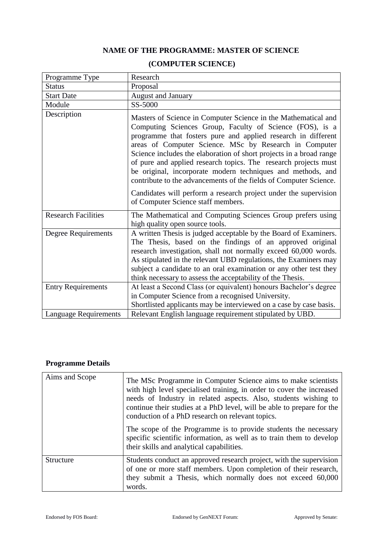## **NAME OF THE PROGRAMME: MASTER OF SCIENCE**

| Programme Type               | Research                                                                                                                                                                                                                                                                                                                                                                                                                                                                                                                                                                                                |
|------------------------------|---------------------------------------------------------------------------------------------------------------------------------------------------------------------------------------------------------------------------------------------------------------------------------------------------------------------------------------------------------------------------------------------------------------------------------------------------------------------------------------------------------------------------------------------------------------------------------------------------------|
| <b>Status</b>                | Proposal                                                                                                                                                                                                                                                                                                                                                                                                                                                                                                                                                                                                |
| <b>Start Date</b>            | August and January                                                                                                                                                                                                                                                                                                                                                                                                                                                                                                                                                                                      |
| Module                       | SS-5000                                                                                                                                                                                                                                                                                                                                                                                                                                                                                                                                                                                                 |
| Description                  | Masters of Science in Computer Science in the Mathematical and<br>Computing Sciences Group, Faculty of Science (FOS), is a<br>programme that fosters pure and applied research in different<br>areas of Computer Science. MSc by Research in Computer<br>Science includes the elaboration of short projects in a broad range<br>of pure and applied research topics. The research projects must<br>be original, incorporate modern techniques and methods, and<br>contribute to the advancements of the fields of Computer Science.<br>Candidates will perform a research project under the supervision |
|                              | of Computer Science staff members.                                                                                                                                                                                                                                                                                                                                                                                                                                                                                                                                                                      |
| <b>Research Facilities</b>   | The Mathematical and Computing Sciences Group prefers using<br>high quality open source tools.                                                                                                                                                                                                                                                                                                                                                                                                                                                                                                          |
| <b>Degree Requirements</b>   | A written Thesis is judged acceptable by the Board of Examiners.<br>The Thesis, based on the findings of an approved original<br>research investigation, shall not normally exceed 60,000 words.<br>As stipulated in the relevant UBD regulations, the Examiners may<br>subject a candidate to an oral examination or any other test they<br>think necessary to assess the acceptability of the Thesis.                                                                                                                                                                                                 |
| <b>Entry Requirements</b>    | At least a Second Class (or equivalent) honours Bachelor's degree                                                                                                                                                                                                                                                                                                                                                                                                                                                                                                                                       |
|                              | in Computer Science from a recognised University.                                                                                                                                                                                                                                                                                                                                                                                                                                                                                                                                                       |
|                              | Shortlisted applicants may be interviewed on a case by case basis.                                                                                                                                                                                                                                                                                                                                                                                                                                                                                                                                      |
| <b>Language Requirements</b> | Relevant English language requirement stipulated by UBD.                                                                                                                                                                                                                                                                                                                                                                                                                                                                                                                                                |

## **(COMPUTER SCIENCE)**

## **Programme Details**

| Aims and Scope   | The MSc Programme in Computer Science aims to make scientists<br>with high level specialised training, in order to cover the increased<br>needs of Industry in related aspects. Also, students wishing to<br>continue their studies at a PhD level, will be able to prepare for the<br>conduction of a PhD research on relevant topics. |
|------------------|-----------------------------------------------------------------------------------------------------------------------------------------------------------------------------------------------------------------------------------------------------------------------------------------------------------------------------------------|
|                  | The scope of the Programme is to provide students the necessary<br>specific scientific information, as well as to train them to develop<br>their skills and analytical capabilities.                                                                                                                                                    |
| <b>Structure</b> | Students conduct an approved research project, with the supervision<br>of one or more staff members. Upon completion of their research,<br>they submit a Thesis, which normally does not exceed 60,000<br>words.                                                                                                                        |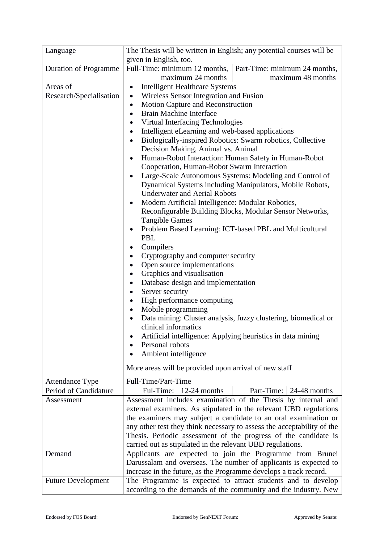| Language                     | The Thesis will be written in English; any potential courses will be                   |  |  |  |  |  |
|------------------------------|----------------------------------------------------------------------------------------|--|--|--|--|--|
|                              | given in English, too.                                                                 |  |  |  |  |  |
| <b>Duration of Programme</b> | Part-Time: minimum 24 months,<br>Full-Time: minimum 12 months,                         |  |  |  |  |  |
|                              | maximum 24 months<br>maximum 48 months                                                 |  |  |  |  |  |
| Areas of                     | <b>Intelligent Healthcare Systems</b><br>$\bullet$                                     |  |  |  |  |  |
| Research/Specialisation      | Wireless Sensor Integration and Fusion                                                 |  |  |  |  |  |
|                              | Motion Capture and Reconstruction<br>$\bullet$                                         |  |  |  |  |  |
|                              | <b>Brain Machine Interface</b><br>$\bullet$                                            |  |  |  |  |  |
|                              | Virtual Interfacing Technologies                                                       |  |  |  |  |  |
|                              | Intelligent eLearning and web-based applications<br>$\bullet$                          |  |  |  |  |  |
|                              | Biologically-inspired Robotics: Swarm robotics, Collective                             |  |  |  |  |  |
|                              | Decision Making, Animal vs. Animal                                                     |  |  |  |  |  |
|                              | Human-Robot Interaction: Human Safety in Human-Robot<br>٠                              |  |  |  |  |  |
|                              | Cooperation, Human-Robot Swarm Interaction                                             |  |  |  |  |  |
|                              | Large-Scale Autonomous Systems: Modeling and Control of                                |  |  |  |  |  |
|                              | Dynamical Systems including Manipulators, Mobile Robots,                               |  |  |  |  |  |
|                              | <b>Underwater and Aerial Robots</b>                                                    |  |  |  |  |  |
|                              | Modern Artificial Intelligence: Modular Robotics,                                      |  |  |  |  |  |
|                              | Reconfigurable Building Blocks, Modular Sensor Networks,                               |  |  |  |  |  |
|                              | <b>Tangible Games</b>                                                                  |  |  |  |  |  |
|                              | Problem Based Learning: ICT-based PBL and Multicultural                                |  |  |  |  |  |
|                              | PBL                                                                                    |  |  |  |  |  |
|                              | Compilers<br>٠                                                                         |  |  |  |  |  |
|                              | Cryptography and computer security<br>٠                                                |  |  |  |  |  |
|                              | Open source implementations                                                            |  |  |  |  |  |
|                              | Graphics and visualisation                                                             |  |  |  |  |  |
|                              | Database design and implementation<br>٠                                                |  |  |  |  |  |
|                              | Server security<br>$\bullet$                                                           |  |  |  |  |  |
|                              | High performance computing                                                             |  |  |  |  |  |
|                              | Mobile programming                                                                     |  |  |  |  |  |
|                              | Data mining: Cluster analysis, fuzzy clustering, biomedical or<br>clinical informatics |  |  |  |  |  |
|                              |                                                                                        |  |  |  |  |  |
|                              | Artificial intelligence: Applying heuristics in data mining<br>Personal robots         |  |  |  |  |  |
|                              | Ambient intelligence                                                                   |  |  |  |  |  |
|                              |                                                                                        |  |  |  |  |  |
|                              | More areas will be provided upon arrival of new staff                                  |  |  |  |  |  |
| <b>Attendance Type</b>       | Full-Time/Part-Time                                                                    |  |  |  |  |  |
| Period of Candidature        | Part-Time:<br>Ful-Time: $\vert$ 12-24 months<br>24-48 months                           |  |  |  |  |  |
| Assessment                   | Assessment includes examination of the Thesis by internal and                          |  |  |  |  |  |
|                              | external examiners. As stipulated in the relevant UBD regulations                      |  |  |  |  |  |
|                              | the examiners may subject a candidate to an oral examination or                        |  |  |  |  |  |
|                              | any other test they think necessary to assess the acceptability of the                 |  |  |  |  |  |
|                              | Thesis. Periodic assessment of the progress of the candidate is                        |  |  |  |  |  |
|                              | carried out as stipulated in the relevant UBD regulations.                             |  |  |  |  |  |
| Demand                       | Applicants are expected to join the Programme from Brunei                              |  |  |  |  |  |
|                              | Darussalam and overseas. The number of applicants is expected to                       |  |  |  |  |  |
|                              | increase in the future, as the Programme develops a track record.                      |  |  |  |  |  |
| <b>Future Development</b>    | The Programme is expected to attract students and to develop                           |  |  |  |  |  |
|                              | according to the demands of the community and the industry. New                        |  |  |  |  |  |